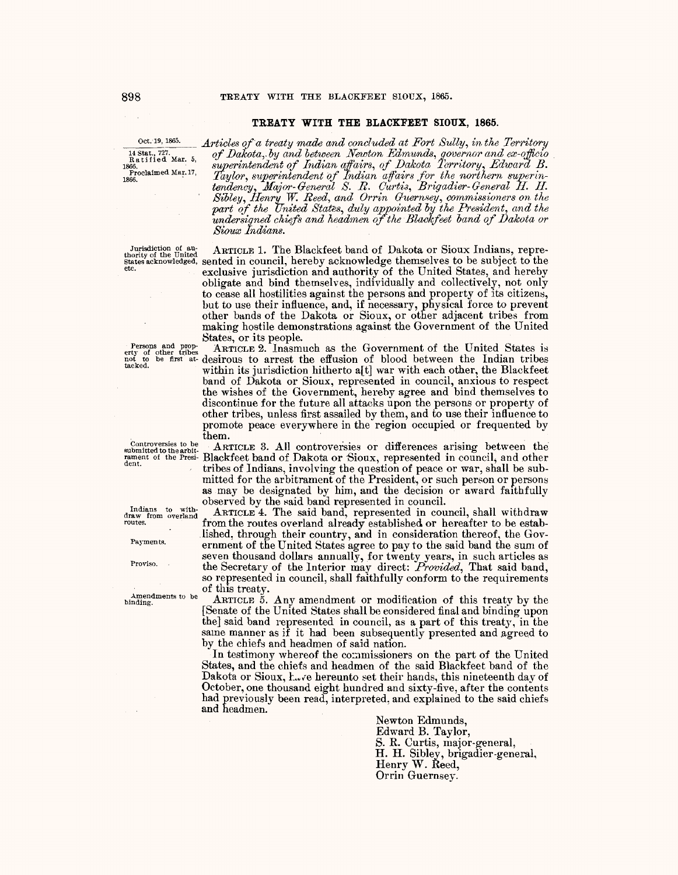## TREATY WITH THE BLACKFEET SIOUX, 1865.

## Oct. 19, 1865. 14 Stat., 727.<br>Ratified Mar. 5,

1866.<br>Proclaimed Mar. 17, 1866.

Articles of a treaty made and concluded at Fort Sully, in the Territory of Dakota, by and between Newton Edmunds, governor and ex-officio<br>superintendent of Indian affairs, of Dakota Territory, Edward B.<br>Taylor, superintendent of Indian affairs, of Dakota Territory, Edward B.<br>Taylor, superinten part of the United States, duly appointed by the President, and the undersigned chiefs and headmen of the Blackfeet band of Dakota or Sioux Indians.

Jurisdiction of au-<br>thority of the United<br>states acknowledged, sented in council, hereby acknowledge themselves to be subject to the exclusive jurisdiction and authority of the United States, and hereby obligate and bind themselves, individually and collectively, not only to cease all hostilities against the persons and property of its citizens, but to use their influence, and, if necessary, physical force to prevent other bands of the Dakota or Sioux, or other adjacent tribes from making hostile demonstrations against the Government of the United States, or its people.

ARTICLE 2. Inasmuch as the Government of the United States is desirous to arrest the effusion of blood between the Indian tribes within its jurisdiction hitherto a[t] war with each other, the Blackfeet band of Dakota or Sioux, represented in council, anxious to respect the wishes of the Government, hereby agree and bind themselves to discontinue for the future all attacks upon the persons or property of other tribes, unless first assailed by them, and to use their influence to promote peace everywhere in the region occupied or frequented by them.

ARTICLE 3. All controversies or differences arising between the Blackfeet band of Dakota or Sioux, represented in council, and other tribes of Indians, involving the question of peace or war, shall be submitted for the arbitrament of the President, or such person or persons as may be designated by him, and the decision or award faithfully observed by the said band represented in council.

ARTICLE 4. The said band, represented in council, shall withdraw from the routes overland already established or hereafter to be established, through their country, and in consideration thereof, the Government of the United States agree to pay to the said band the sum of seven thousand dollars annually, for twenty years, in such articles as the Secretary of the Interior may direct: *Provided*, That said band, so represented in council, shall faithfully conform to the requirements of this treaty.

ARTICLE 5. Any amendment or modification of this treaty by the [Senate of the United States shall be considered final and binding upon the said band represented in council, as a part of this treaty, in the same manner as if it had been subsequently presented and agreed to by the chiefs and headmen of said nation.

In testimony whereof the commissioners on the part of the United States, and the chiefs and headmen of the said Blackfeet band of the Dakota or Sioux, L. ve hereunto set their hands, this nineteenth day of October, one thousand eight hundred and sixty-five, after the contents had previously been read, interpreted, and explained to the said chiefs and headmen.

> Newton Edmunds. Edward B. Taylor, S. R. Curtis, major-general, H. H. Sibley, brigadier-general, Henry W. Reed, Orrin Guernsey.

Controversies to be<br>submitted to the arbit-<br>rament of the Presi-<br>dent.

Persons and property of other tribes<br>not to be first at-<br>tacked.

Indians to with-<br>draw from overland<br>routes.

Payments.

Proviso.

Amendments to be  $\overline{\text{binding}}$ .